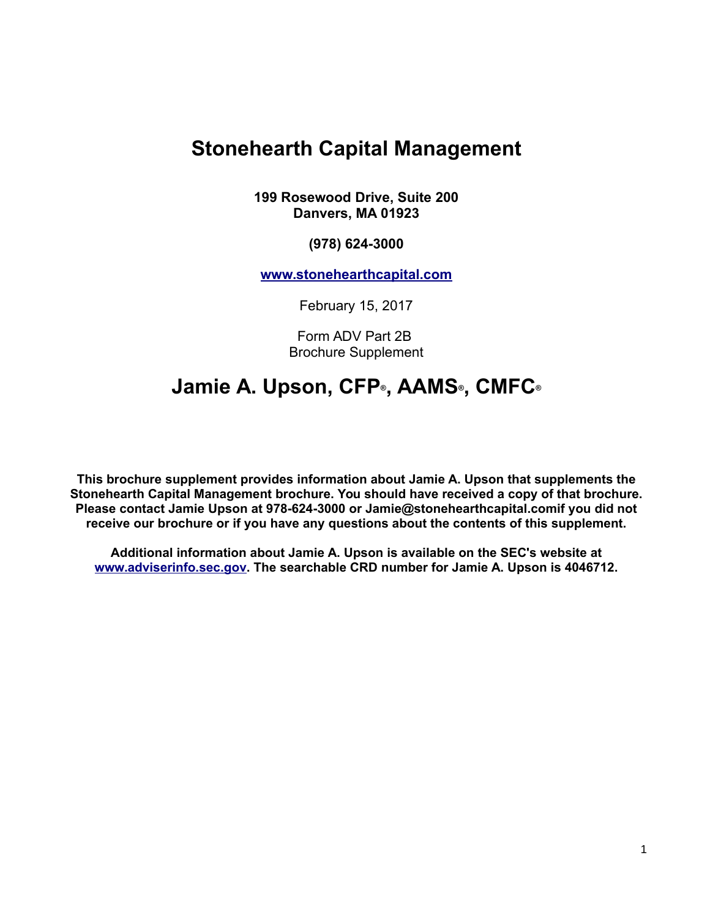# **Stonehearth Capital Management**

**199 Rosewood Drive, Suite 200 Danvers, MA 01923**

**(978) 624-3000**

**[www.stonehearthcapital.com](http://www.stonehearthcapital.com/)**

February 15, 2017

Form ADV Part 2B Brochure Supplement

# **Jamie A. Upson, CFP®, AAMS®, CMFC®**

**This brochure supplement provides information about Jamie A. Upson that supplements the Stonehearth Capital Management brochure. You should have received a copy of that brochure. Please contact Jamie Upson at 978-624-3000 or Jamie@stonehearthcapital.comif you did not receive our brochure or if you have any questions about the contents of this supplement.**

**Additional information about Jamie A. Upson is available on the SEC's website at [www.adviserinfo.sec.gov.](http://www.adviserinfo.sec.gov/) The searchable CRD number for Jamie A. Upson is 4046712.**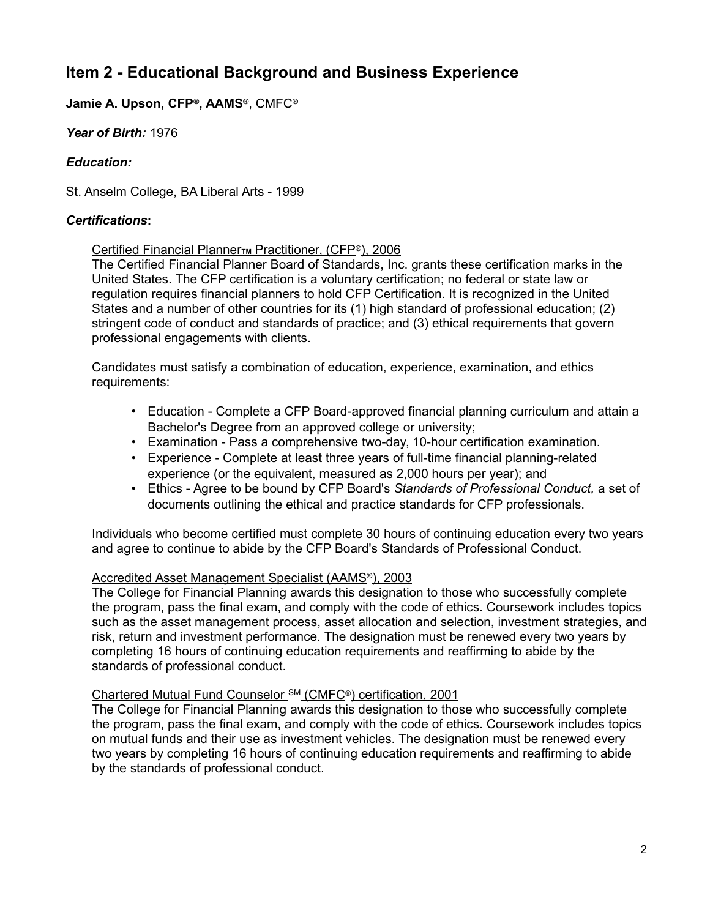# **Item 2 - Educational Background and Business Experience**

### **Jamie A. Upson, CFP®, AAMS®**, CMFC**®**

*Year of Birth:* 1976

### *Education:*

St. Anselm College, BA Liberal Arts - 1999

### *Certifications***:**

#### Certified Financial Planner **M** Practitioner, (CFP<sup>®</sup>), 2006

The Certified Financial Planner Board of Standards, Inc. grants these certification marks in the United States. The CFP certification is a voluntary certification; no federal or state law or regulation requires financial planners to hold CFP Certification. It is recognized in the United States and a number of other countries for its (1) high standard of professional education; (2) stringent code of conduct and standards of practice; and (3) ethical requirements that govern professional engagements with clients.

Candidates must satisfy a combination of education, experience, examination, and ethics requirements:

- Education Complete a CFP Board-approved financial planning curriculum and attain a Bachelor's Degree from an approved college or university;
- Examination Pass a comprehensive two-day, 10-hour certification examination.
- Experience Complete at least three years of full-time financial planning-related experience (or the equivalent, measured as 2,000 hours per year); and
- Ethics Agree to be bound by CFP Board's *Standards of Professional Conduct,* a set of documents outlining the ethical and practice standards for CFP professionals.

Individuals who become certified must complete 30 hours of continuing education every two years and agree to continue to abide by the CFP Board's Standards of Professional Conduct.

#### Accredited Asset Management Specialist (AAMS®), 2003

The College for Financial Planning awards this designation to those who successfully complete the program, pass the final exam, and comply with the code of ethics. Coursework includes topics such as the asset management process, asset allocation and selection, investment strategies, and risk, return and investment performance. The designation must be renewed every two years by completing 16 hours of continuing education requirements and reaffirming to abide by the standards of professional conduct.

#### Chartered Mutual Fund Counselor SM (CMFC®) certification, 2001

The College for Financial Planning awards this designation to those who successfully complete the program, pass the final exam, and comply with the code of ethics. Coursework includes topics on mutual funds and their use as investment vehicles. The designation must be renewed every two years by completing 16 hours of continuing education requirements and reaffirming to abide by the standards of professional conduct.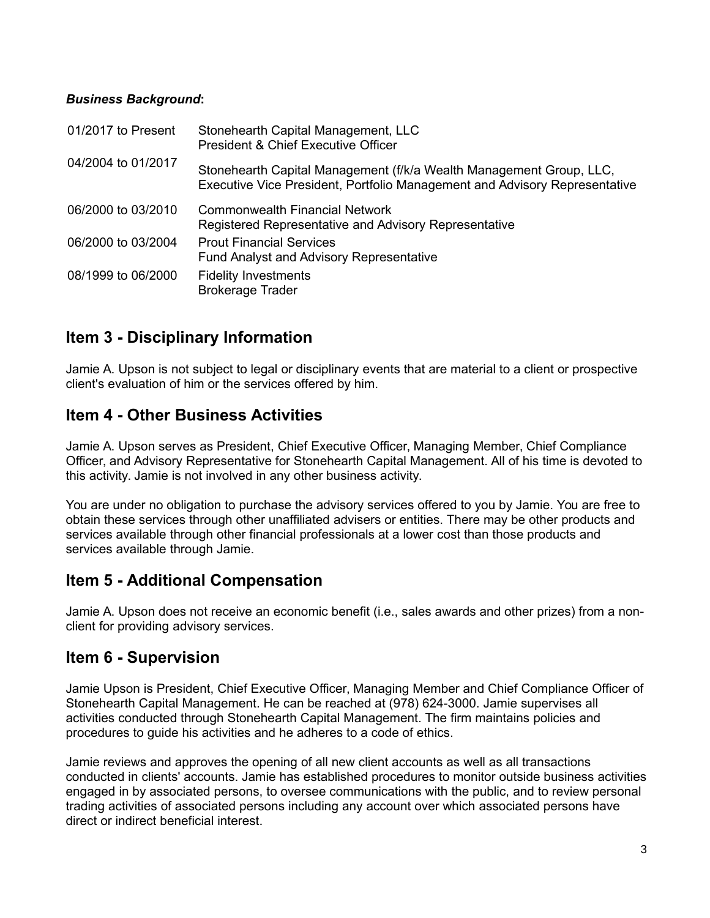### *Business Background***:**

| 01/2017 to Present | Stonehearth Capital Management, LLC<br>President & Chief Executive Officer                                                                        |
|--------------------|---------------------------------------------------------------------------------------------------------------------------------------------------|
| 04/2004 to 01/2017 | Stonehearth Capital Management (f/k/a Wealth Management Group, LLC,<br>Executive Vice President, Portfolio Management and Advisory Representative |
| 06/2000 to 03/2010 | <b>Commonwealth Financial Network</b><br>Registered Representative and Advisory Representative                                                    |
| 06/2000 to 03/2004 | <b>Prout Financial Services</b><br><b>Fund Analyst and Advisory Representative</b>                                                                |
| 08/1999 to 06/2000 | <b>Fidelity Investments</b><br><b>Brokerage Trader</b>                                                                                            |

### **Item 3 - Disciplinary Information**

Jamie A. Upson is not subject to legal or disciplinary events that are material to a client or prospective client's evaluation of him or the services offered by him.

### **Item 4 - Other Business Activities**

Jamie A. Upson serves as President, Chief Executive Officer, Managing Member, Chief Compliance Officer, and Advisory Representative for Stonehearth Capital Management. All of his time is devoted to this activity. Jamie is not involved in any other business activity.

You are under no obligation to purchase the advisory services offered to you by Jamie. You are free to obtain these services through other unaffiliated advisers or entities. There may be other products and services available through other financial professionals at a lower cost than those products and services available through Jamie.

### **Item 5 - Additional Compensation**

Jamie A. Upson does not receive an economic benefit (i.e., sales awards and other prizes) from a nonclient for providing advisory services.

### **Item 6 - Supervision**

Jamie Upson is President, Chief Executive Officer, Managing Member and Chief Compliance Officer of Stonehearth Capital Management. He can be reached at (978) 624-3000. Jamie supervises all activities conducted through Stonehearth Capital Management. The firm maintains policies and procedures to guide his activities and he adheres to a code of ethics.

Jamie reviews and approves the opening of all new client accounts as well as all transactions conducted in clients' accounts. Jamie has established procedures to monitor outside business activities engaged in by associated persons, to oversee communications with the public, and to review personal trading activities of associated persons including any account over which associated persons have direct or indirect beneficial interest.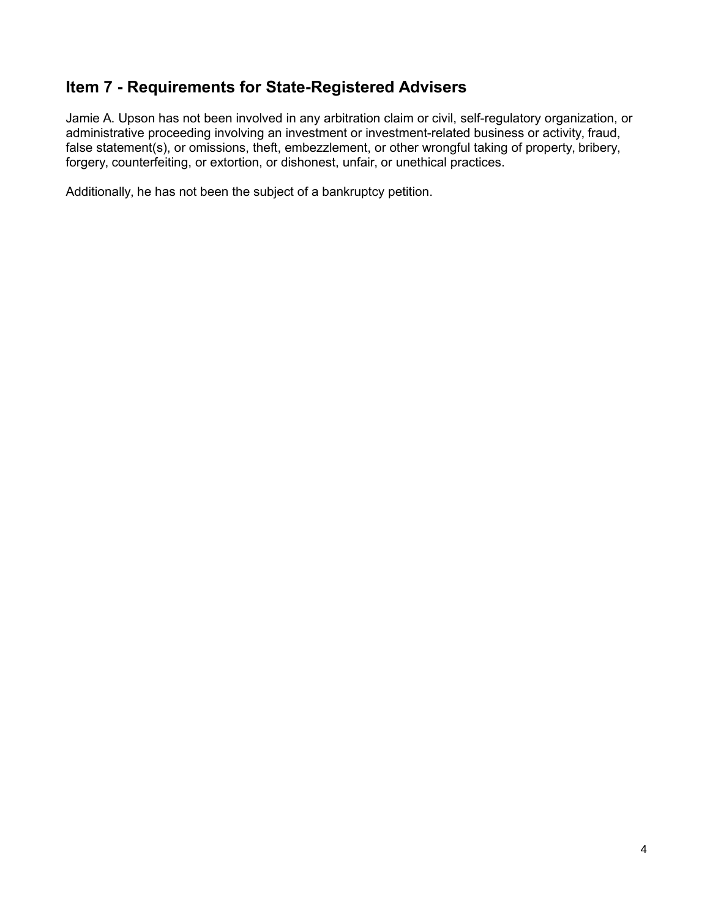## **Item 7 - Requirements for State-Registered Advisers**

Jamie A. Upson has not been involved in any arbitration claim or civil, self-regulatory organization, or administrative proceeding involving an investment or investment-related business or activity, fraud, false statement(s), or omissions, theft, embezzlement, or other wrongful taking of property, bribery, forgery, counterfeiting, or extortion, or dishonest, unfair, or unethical practices.

Additionally, he has not been the subject of a bankruptcy petition.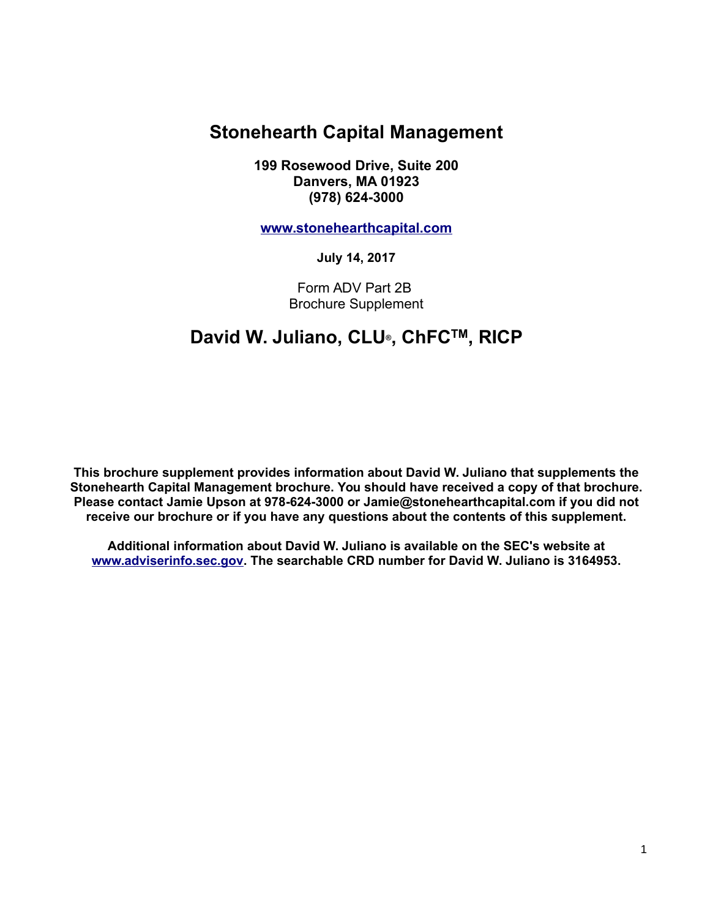# **Stonehearth Capital Management**

**199 Rosewood Drive, Suite 200 Danvers, MA 01923 (978) 624-3000**

**[www.stonehearthcapital.com](http://www.stonehearthcapital.com/)**

**July 14, 2017**

Form ADV Part 2B Brochure Supplement

# **David W. Juliano, CLU®, ChFCTM, RICP**

**This brochure supplement provides information about David W. Juliano that supplements the Stonehearth Capital Management brochure. You should have received a copy of that brochure. Please contact Jamie Upson at 978-624-3000 or Jamie@stonehearthcapital.com if you did not receive our brochure or if you have any questions about the contents of this supplement.**

**Additional information about David W. Juliano is available on the SEC's website at [www.adviserinfo.sec.gov.](http://www.adviserinfo.sec.gov/) The searchable CRD number for David W. Juliano is 3164953.**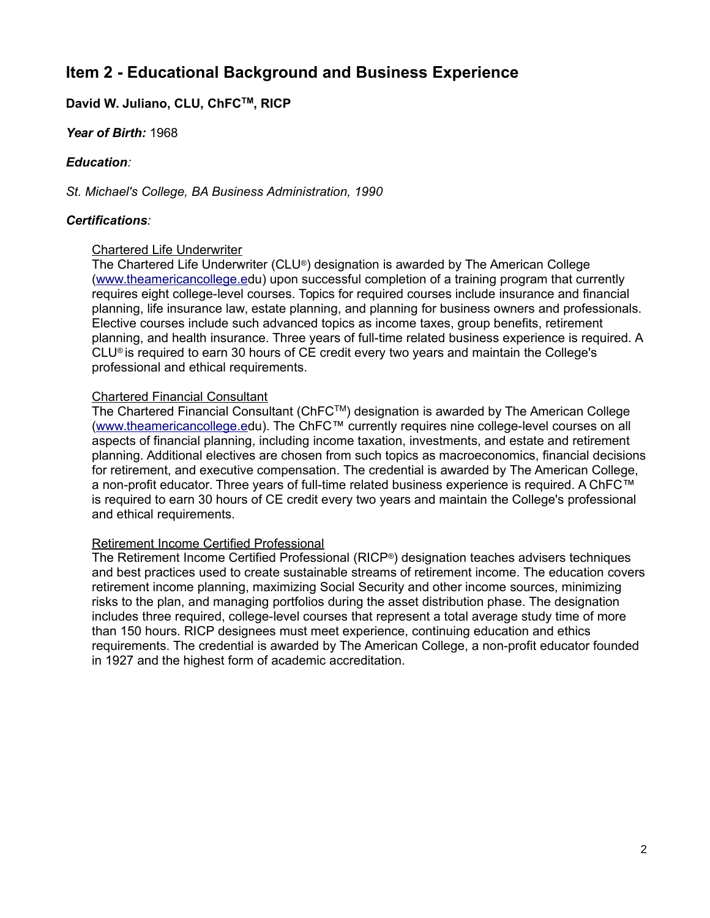## **Item 2 - Educational Background and Business Experience**

### **David W. Juliano, CLU, ChFCTM, RICP**

#### *Year of Birth:* 1968

#### *Education:*

*St. Michael's College, BA Business Administration, 1990*

#### *Certifications:*

#### Chartered Life Underwriter

The Chartered Life Underwriter (CLU®) designation is awarded by The American College [\(www.theamericancollege.ed](http://www.theamericancollege.e/)u) upon successful completion of a training program that currently requires eight college-level courses. Topics for required courses include insurance and financial planning, life insurance law, estate planning, and planning for business owners and professionals. Elective courses include such advanced topics as income taxes, group benefits, retirement planning, and health insurance. Three years of full-time related business experience is required. A CLU® is required to earn 30 hours of CE credit every two years and maintain the College's professional and ethical requirements.

#### Chartered Financial Consultant

The Chartered Financial Consultant (ChFC™) designation is awarded by The American College [\(www.theamericancollege.ed](http://www.theamericancollege.e/)u). The ChFC™ currently requires nine college-level courses on all aspects of financial planning, including income taxation, investments, and estate and retirement planning. Additional electives are chosen from such topics as macroeconomics, financial decisions for retirement, and executive compensation. The credential is awarded by The American College, a non-profit educator. Three years of full-time related business experience is required. A ChFC™ is required to earn 30 hours of CE credit every two years and maintain the College's professional and ethical requirements.

#### Retirement Income Certified Professional

The Retirement Income Certified Professional (RICP®) designation teaches advisers techniques and best practices used to create sustainable streams of retirement income. The education covers retirement income planning, maximizing Social Security and other income sources, minimizing risks to the plan, and managing portfolios during the asset distribution phase. The designation includes three required, college-level courses that represent a total average study time of more than 150 hours. RICP designees must meet experience, continuing education and ethics requirements. The credential is awarded by The American College, a non-profit educator founded in 1927 and the highest form of academic accreditation.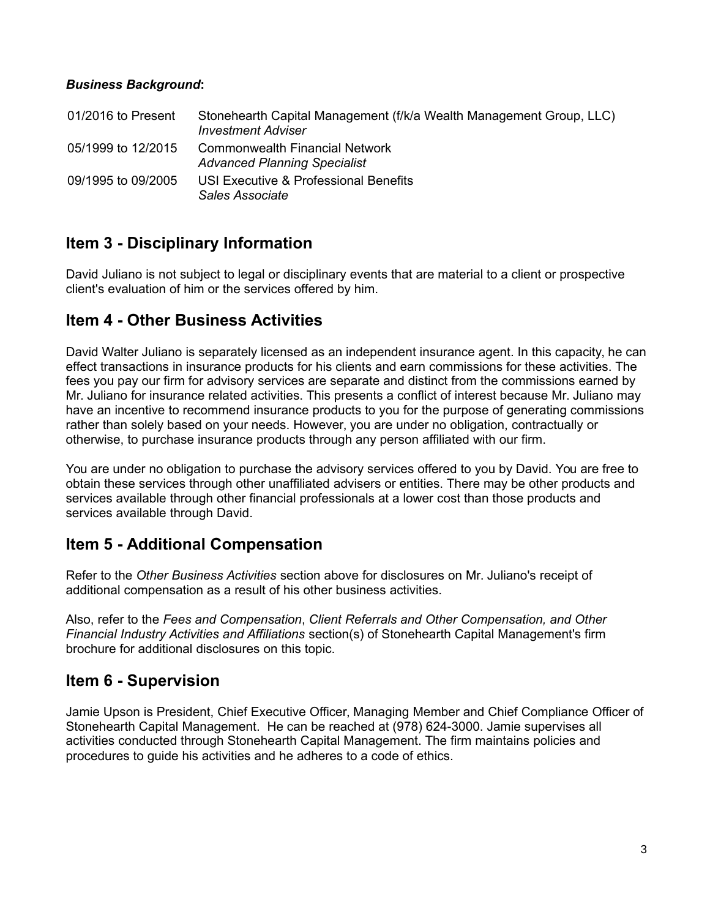### *Business Background***:**

| 01/2016 to Present | Stonehearth Capital Management (f/k/a Wealth Management Group, LLC)<br><b>Investment Adviser</b> |
|--------------------|--------------------------------------------------------------------------------------------------|
| 05/1999 to 12/2015 | Commonwealth Financial Network<br><b>Advanced Planning Specialist</b>                            |
| 09/1995 to 09/2005 | USI Executive & Professional Benefits<br>Sales Associate                                         |

### **Item 3 - Disciplinary Information**

David Juliano is not subject to legal or disciplinary events that are material to a client or prospective client's evaluation of him or the services offered by him.

### **Item 4 - Other Business Activities**

David Walter Juliano is separately licensed as an independent insurance agent. In this capacity, he can effect transactions in insurance products for his clients and earn commissions for these activities. The fees you pay our firm for advisory services are separate and distinct from the commissions earned by Mr. Juliano for insurance related activities. This presents a conflict of interest because Mr. Juliano may have an incentive to recommend insurance products to you for the purpose of generating commissions rather than solely based on your needs. However, you are under no obligation, contractually or otherwise, to purchase insurance products through any person affiliated with our firm.

You are under no obligation to purchase the advisory services offered to you by David. You are free to obtain these services through other unaffiliated advisers or entities. There may be other products and services available through other financial professionals at a lower cost than those products and services available through David.

### **Item 5 - Additional Compensation**

Refer to the *Other Business Activities* section above for disclosures on Mr. Juliano's receipt of additional compensation as a result of his other business activities.

Also, refer to the *Fees and Compensation*, *Client Referrals and Other Compensation, and Other Financial Industry Activities and Affiliations* section(s) of Stonehearth Capital Management's firm brochure for additional disclosures on this topic.

### **Item 6 - Supervision**

Jamie Upson is President, Chief Executive Officer, Managing Member and Chief Compliance Officer of Stonehearth Capital Management. He can be reached at (978) 624-3000. Jamie supervises all activities conducted through Stonehearth Capital Management. The firm maintains policies and procedures to guide his activities and he adheres to a code of ethics.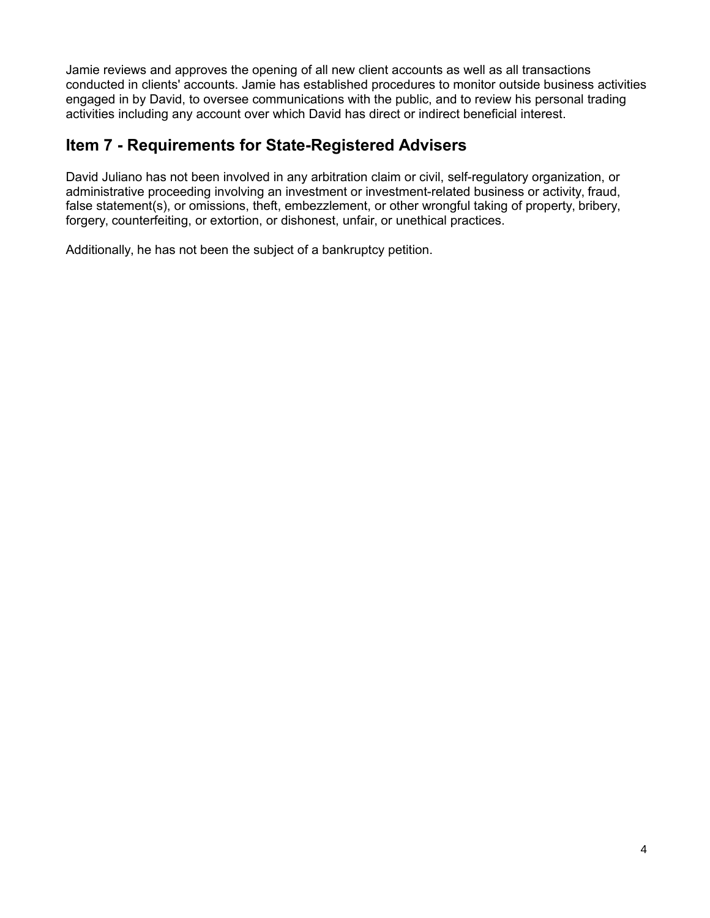Jamie reviews and approves the opening of all new client accounts as well as all transactions conducted in clients' accounts. Jamie has established procedures to monitor outside business activities engaged in by David, to oversee communications with the public, and to review his personal trading activities including any account over which David has direct or indirect beneficial interest.

## **Item 7 - Requirements for State-Registered Advisers**

David Juliano has not been involved in any arbitration claim or civil, self-regulatory organization, or administrative proceeding involving an investment or investment-related business or activity, fraud, false statement(s), or omissions, theft, embezzlement, or other wrongful taking of property, bribery, forgery, counterfeiting, or extortion, or dishonest, unfair, or unethical practices.

Additionally, he has not been the subject of a bankruptcy petition.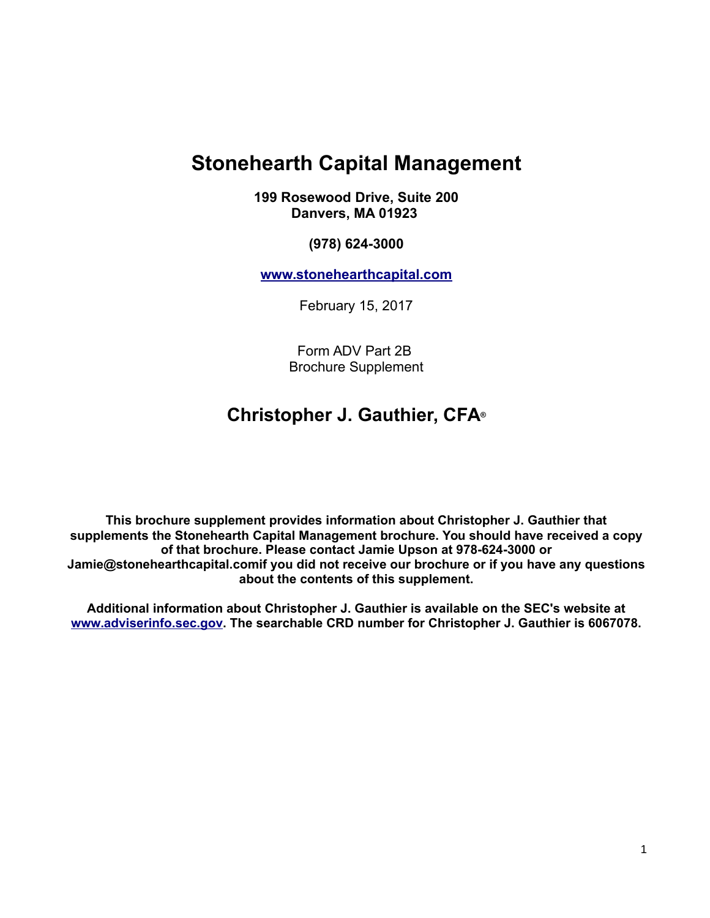# **Stonehearth Capital Management**

**199 Rosewood Drive, Suite 200 Danvers, MA 01923**

**(978) 624-3000**

**[www.stonehearthcapital.com](http://www.stonehearthcapital.com/)**

February 15, 2017

Form ADV Part 2B Brochure Supplement

# **Christopher J. Gauthier, CFA®**

**This brochure supplement provides information about Christopher J. Gauthier that supplements the Stonehearth Capital Management brochure. You should have received a copy of that brochure. Please contact Jamie Upson at 978-624-3000 or Jamie@stonehearthcapital.comif you did not receive our brochure or if you have any questions about the contents of this supplement.**

**Additional information about Christopher J. Gauthier is available on the SEC's website at [www.adviserinfo.sec.gov.](http://www.adviserinfo.sec.gov/) The searchable CRD number for Christopher J. Gauthier is 6067078.**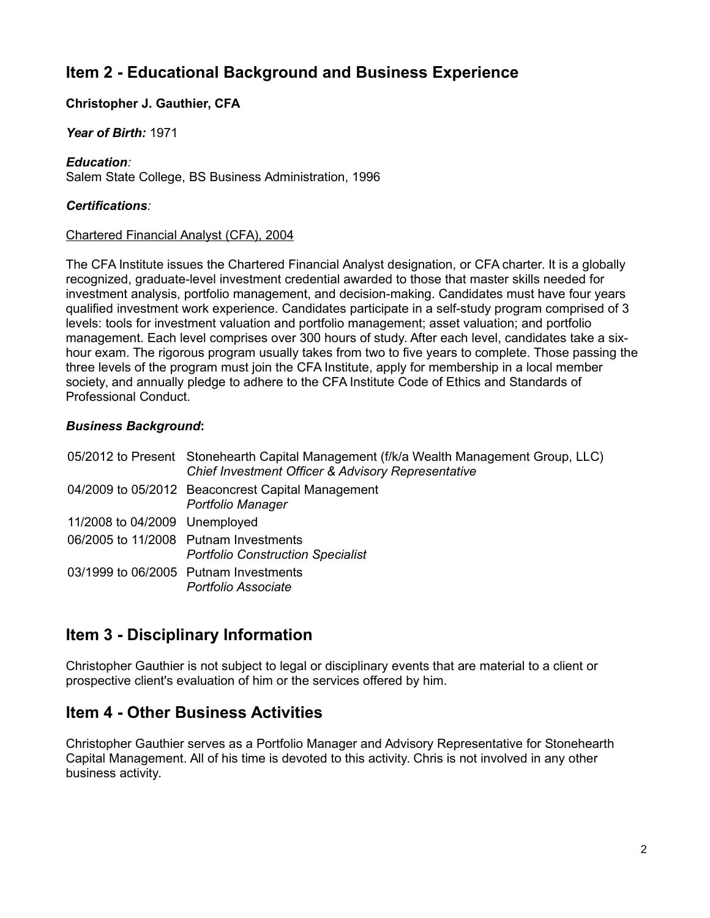# **Item 2 - Educational Background and Business Experience**

### **Christopher J. Gauthier, CFA**

#### *Year of Birth:* 1971

#### *Education:*

Salem State College, BS Business Administration, 1996

#### *Certifications:*

#### Chartered Financial Analyst (CFA), 2004

The CFA Institute issues the Chartered Financial Analyst designation, or CFA charter. It is a globally recognized, graduate-level investment credential awarded to those that master skills needed for investment analysis, portfolio management, and decision-making. Candidates must have four years qualified investment work experience. Candidates participate in a self-study program comprised of 3 levels: tools for investment valuation and portfolio management; asset valuation; and portfolio management. Each level comprises over 300 hours of study. After each level, candidates take a sixhour exam. The rigorous program usually takes from two to five years to complete. Those passing the three levels of the program must join the CFA Institute, apply for membership in a local member society, and annually pledge to adhere to the CFA Institute Code of Ethics and Standards of Professional Conduct.

#### *Business Background***:**

|                               | 05/2012 to Present Stonehearth Capital Management (f/k/a Wealth Management Group, LLC)<br><b>Chief Investment Officer &amp; Advisory Representative</b> |
|-------------------------------|---------------------------------------------------------------------------------------------------------------------------------------------------------|
|                               | 04/2009 to 05/2012 Beaconcrest Capital Management<br>Portfolio Manager                                                                                  |
| 11/2008 to 04/2009 Unemployed |                                                                                                                                                         |
|                               | 06/2005 to 11/2008 Putnam Investments<br><b>Portfolio Construction Specialist</b>                                                                       |
|                               | 03/1999 to 06/2005 Putnam Investments<br>Portfolio Associate                                                                                            |

### **Item 3 - Disciplinary Information**

Christopher Gauthier is not subject to legal or disciplinary events that are material to a client or prospective client's evaluation of him or the services offered by him.

### **Item 4 - Other Business Activities**

Christopher Gauthier serves as a Portfolio Manager and Advisory Representative for Stonehearth Capital Management. All of his time is devoted to this activity. Chris is not involved in any other business activity.